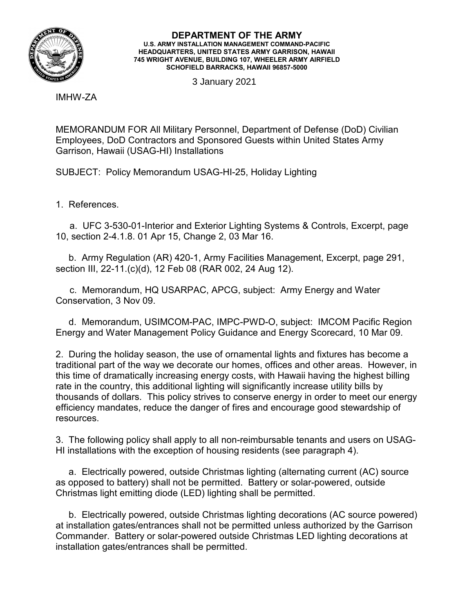

## **DEPARTMENT OF THE ARMY U.S. ARMY INSTALLATION MANAGEMENT COMMAND-PACIFIC HEADQUARTERS, UNITED STATES ARMY GARRISON, HAWAII 745 WRIGHT AVENUE, BUILDING 107, WHEELER ARMY AIRFIELD SCHOFIELD BARRACKS, HAWAII 96857-5000**

3 January 2021

IMHW-ZA

MEMORANDUM FOR All Military Personnel, Department of Defense (DoD) Civilian Employees, DoD Contractors and Sponsored Guests within United States Army Garrison, Hawaii (USAG-HI) Installations

SUBJECT: Policy Memorandum USAG-HI-25, Holiday Lighting

1. References.

a. UFC 3-530-01-Interior and Exterior Lighting Systems & Controls, Excerpt, page 10, section 2-4.1.8. 01 Apr 15, Change 2, 03 Mar 16.

 b. Army Regulation (AR) 420-1, Army Facilities Management, Excerpt, page 291, section III, 22-11.(c)(d), 12 Feb 08 (RAR 002, 24 Aug 12).

c. Memorandum, HQ USARPAC, APCG, subject: Army Energy and Water Conservation, 3 Nov 09.

 d. Memorandum, USIMCOM-PAC, IMPC-PWD-O, subject: IMCOM Pacific Region Energy and Water Management Policy Guidance and Energy Scorecard, 10 Mar 09.

2. During the holiday season, the use of ornamental lights and fixtures has become a traditional part of the way we decorate our homes, offices and other areas. However, in this time of dramatically increasing energy costs, with Hawaii having the highest billing rate in the country, this additional lighting will significantly increase utility bills by thousands of dollars. This policy strives to conserve energy in order to meet our energy efficiency mandates, reduce the danger of fires and encourage good stewardship of resources.

3. The following policy shall apply to all non-reimbursable tenants and users on USAG-HI installations with the exception of housing residents (see paragraph 4).

 a. Electrically powered, outside Christmas lighting (alternating current (AC) source as opposed to battery) shall not be permitted. Battery or solar-powered, outside Christmas light emitting diode (LED) lighting shall be permitted.

 b. Electrically powered, outside Christmas lighting decorations (AC source powered) at installation gates/entrances shall not be permitted unless authorized by the Garrison Commander. Battery or solar-powered outside Christmas LED lighting decorations at installation gates/entrances shall be permitted.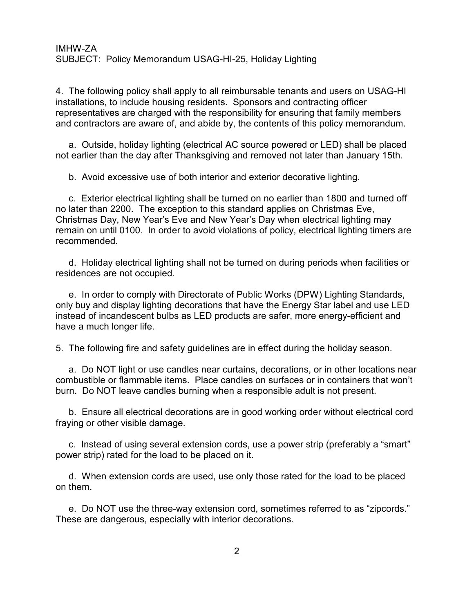## IMHW-ZA SUBJECT: Policy Memorandum USAG-HI-25, Holiday Lighting

4. The following policy shall apply to all reimbursable tenants and users on USAG-HI installations, to include housing residents. Sponsors and contracting officer representatives are charged with the responsibility for ensuring that family members and contractors are aware of, and abide by, the contents of this policy memorandum.

 a. Outside, holiday lighting (electrical AC source powered or LED) shall be placed not earlier than the day after Thanksgiving and removed not later than January 15th.

b. Avoid excessive use of both interior and exterior decorative lighting.

 c. Exterior electrical lighting shall be turned on no earlier than 1800 and turned off no later than 2200. The exception to this standard applies on Christmas Eve, Christmas Day, New Year's Eve and New Year's Day when electrical lighting may remain on until 0100. In order to avoid violations of policy, electrical lighting timers are recommended.

 d. Holiday electrical lighting shall not be turned on during periods when facilities or residences are not occupied.

 e. In order to comply with Directorate of Public Works (DPW) Lighting Standards, only buy and display lighting decorations that have the Energy Star label and use LED instead of incandescent bulbs as LED products are safer, more energy-efficient and have a much longer life.

5. The following fire and safety guidelines are in effect during the holiday season.

 a. Do NOT light or use candles near curtains, decorations, or in other locations near combustible or flammable items. Place candles on surfaces or in containers that won't burn. Do NOT leave candles burning when a responsible adult is not present.

 b. Ensure all electrical decorations are in good working order without electrical cord fraying or other visible damage.

 c. Instead of using several extension cords, use a power strip (preferably a "smart" power strip) rated for the load to be placed on it.

 d. When extension cords are used, use only those rated for the load to be placed on them.

 e. Do NOT use the three-way extension cord, sometimes referred to as "zipcords." These are dangerous, especially with interior decorations.